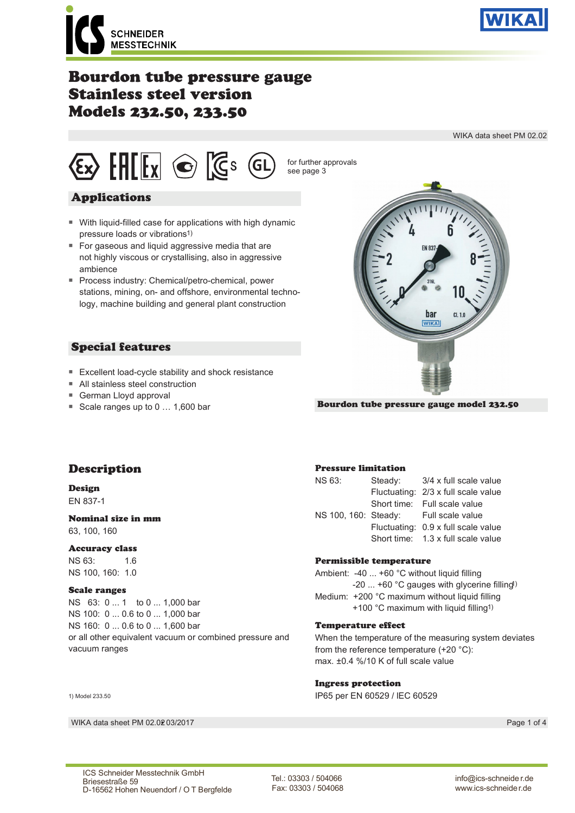

WIKA data sheet PM 02.02

**SCHNEIDER MESSTECHNIK** 

# Bourdon tube pressure gauge Stainless steel version Models 232.50, 233.50



## Applications

- With liquid-filled case for applications with high dynamic pressure loads or vibrations1)
- For gaseous and liquid aggressive media that are not highly viscous or crystallising, also in aggressive ambience
- Process industry: Chemical/petro-chemical, power stations, mining, on- and offshore, environmental technology, machine building and general plant construction

## Special features

- Excellent load-cycle stability and shock resistance
- All stainless steel construction
- German Lloyd approval
- Scale ranges up to 0 ... 1,600 bar



Bourdon tube pressure gauge model 232.50

bar **WIKA** 

## Description

#### Design EN 837-1

### Nominal size in mm

63, 100, 160

### Accuracy class

NS 63: 1.6 NS 100, 160: 1.0

### Scale ranges

NS 63: 0 ... 1 to 0 ... 1,000 bar NS 100: 0 ... 0.6 to 0 ... 1,000 bar NS 160: 0 ... 0.6 to 0 ... 1,600 bar or all other equivalent vacuum or combined pressure and vacuum ranges

#### 1) Model 233.50

WIKA data sheet PM 02.0203/2017

### Pressure limitation

| <b>NS 63:</b> | Steady: 3/4 x full scale value        |  |  |  |  |
|---------------|---------------------------------------|--|--|--|--|
|               | Fluctuating: 2/3 x full scale value   |  |  |  |  |
|               | Short time: Full scale value          |  |  |  |  |
|               | NS 100, 160: Steady: Full scale value |  |  |  |  |
|               | Fluctuating: 0.9 x full scale value   |  |  |  |  |
|               | Short time: 1.3 x full scale value    |  |  |  |  |

### Permissible temperature

Ambient: -40 ... +60 °C without liquid filling -20 ... +60 °C gauges with glycerine filling1) Medium: +200 °C maximum without liquid filling +100 °C maximum with liquid filling1)

### Temperature effect

When the temperature of the measuring system deviates from the reference temperature (+20 °C): max. ±0.4 %/10 K of full scale value

### Ingress protection

IP65 per EN 60529 / lEC 60529

Page 1 of 4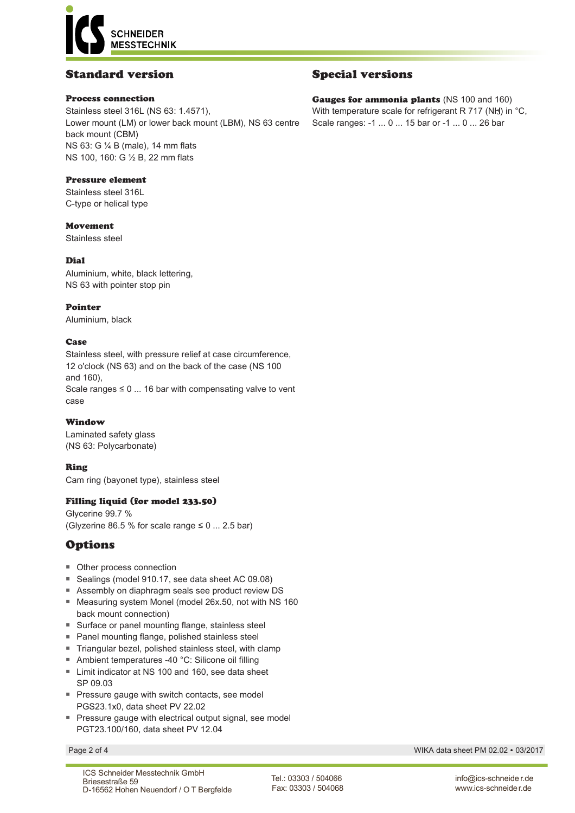**SCHNEIDER MESSTECHNIK** 

## Standard version

### Process connection

Stainless steel 316L (NS 63: 1.4571), Lower mount (LM) or lower back mount (LBM), NS 63 centre back mount (CBM) NS 63: G ¼ B (male), 14 mm flats NS 100, 160: G ½ B, 22 mm flats

### Pressure element

Stainless steel 316L C-type or helical type

### Movement

Stainless steel

### Dial

Aluminium, white, black lettering, NS 63 with pointer stop pin

### Pointer

Aluminium, black

### Case

Stainless steel, with pressure relief at case circumference, 12 o'clock (NS 63) and on the back of the case (NS 100 and 160), Scale ranges  $\leq 0$  ... 16 bar with compensating valve to vent case

### Window

Laminated safety glass (NS 63: Polycarbonate)

### Ring

Cam ring (bayonet type), stainless steel

### Filling liquid (for model 233.50)

Glycerine 99.7 % (Glyzerine 86.5 % for scale range  $\leq 0$  ... 2.5 bar)

## Options

- Other process connection
- Sealings (model 910.17, see data sheet AC 09.08)
- Assembly on diaphragm seals see product review DS
- Measuring system Monel (model 26x.50, not with NS 160 back mount connection)
- Surface or panel mounting flange, stainless steel
- Panel mounting flange, polished stainless steel
- Triangular bezel, polished stainless steel, with clamp
- Ambient temperatures -40 °C: Silicone oil filling
- Limit indicator at NS 100 and 160, see data sheet SP 09.03
- Pressure gauge with switch contacts, see model PGS23.1x0, data sheet PV 22.02
- Pressure gauge with electrical output signal, see model PGT23.100/160, data sheet PV 12.04

## Special versions

Gauges for ammonia plants (NS 100 and 160) With temperature scale for refrigerant R 717 (NH) in  $°C$ , Scale ranges: -1 ... 0 ... 15 bar or -1 ... 0 ... 26 bar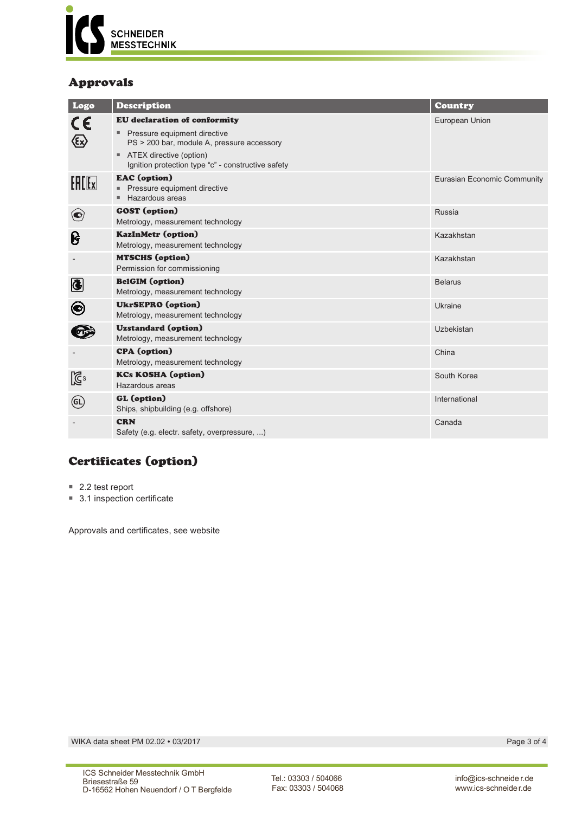

## Approvals

| Logo           | <b>Description</b>                                                                                                                                                                                                   | <b>Country</b>              |
|----------------|----------------------------------------------------------------------------------------------------------------------------------------------------------------------------------------------------------------------|-----------------------------|
| CE<br>(εx)     | <b>EU</b> declaration of conformity<br>Pressure equipment directive<br>PS > 200 bar, module A, pressure accessory<br>ATEX directive (option)<br>$\blacksquare$<br>Ignition protection type "c" - constructive safety | European Union              |
| <b>EACEX</b>   | <b>EAC</b> (option)<br>Pressure equipment directive<br>Hazardous areas                                                                                                                                               | Eurasian Economic Community |
| $\bigcirc$     | <b>GOST</b> (option)<br>Metrology, measurement technology                                                                                                                                                            | Russia                      |
| ၆              | <b>KazInMetr (option)</b><br>Metrology, measurement technology                                                                                                                                                       | Kazakhstan                  |
|                | <b>MTSCHS</b> (option)<br>Permission for commissioning                                                                                                                                                               | Kazakhstan                  |
| $\bigcirc$     | <b>BelGIM</b> (option)<br>Metrology, measurement technology                                                                                                                                                          | <b>Belarus</b>              |
| $\bm{\Theta}$  | <b>UkrSEPRO</b> (option)<br>Metrology, measurement technology                                                                                                                                                        | Ukraine                     |
|                | <b>Uzstandard</b> (option)<br>Metrology, measurement technology                                                                                                                                                      | Uzbekistan                  |
|                | <b>CPA</b> (option)<br>Metrology, measurement technology                                                                                                                                                             | China                       |
| $\mathbb{Z}^2$ | <b>KCs KOSHA (option)</b><br>Hazardous areas                                                                                                                                                                         | South Korea                 |
| (GL)           | GL (option)<br>Ships, shipbuilding (e.g. offshore)                                                                                                                                                                   | International               |
|                | <b>CRN</b><br>Safety (e.g. electr. safety, overpressure, )                                                                                                                                                           | Canada                      |

# Certificates (option)

- 2.2 test report
- 3.1 inspection certificate

Approvals and certificates, see website

WIKA data sheet PM 02.02 • 03/2017 Page 3 of 4